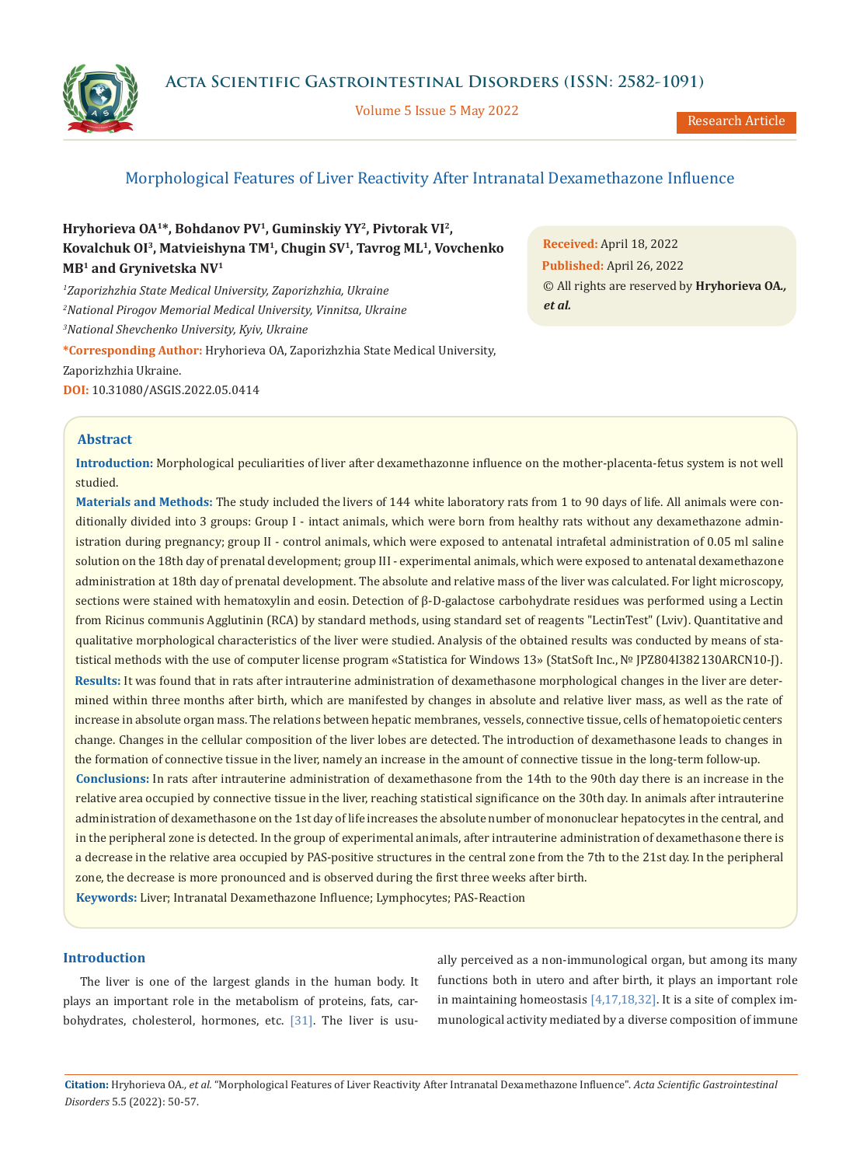**Acta Scientific Gastrointestinal Disorders (ISSN: 2582-1091)**



Volume 5 Issue 5 May 2022

# Morphological Features of Liver Reactivity After Intranatal Dexamethazone Influence

**Hryhorieva OA1\*, Bohdanov PV1, Guminskiy YY2, Pivtorak VI2, Kovalchuk OI3, Matvieishyna TM1, Chugin SV1, Tavrog ML1, Vovchenko MB1 and Grynivetska NV1**

*1 Zaporizhzhia State Medical University, Zaporizhzhia, Ukraine 2 National Pirogov Memorial Medical University, Vinnitsa, Ukraine 3 National Shevchenko University, Kyiv, Ukraine*

**\*Corresponding Author:** Hryhorieva OA, Zaporizhzhia State Medical University, Zaporizhzhia Ukraine. **DOI:** [10.31080/ASGIS.2022.05.0414](https://actascientific.com/ASGIS/pdf/ASGIS-05-0414.pdf)

**Received:** April 18, 2022 **Published:** April 26, 2022 © All rights are reserved by **Hryhorieva OA***., et al.*

# **Abstract**

**Introduction:** Morphological peculiarities of liver after dexamethazonne influence on the mother-placenta-fetus system is not well studied.

**Materials and Methods:** The study included the livers of 144 white laboratory rats from 1 to 90 days of life. All animals were conditionally divided into 3 groups: Group I - intact animals, which were born from healthy rats without any dexamethazone administration during pregnancy; group II - control animals, which were exposed to antenatal intrafetal administration of 0.05 ml saline solution on the 18th day of prenatal development; group III - experimental animals, which were exposed to antenatal dexamethazone administration at 18th day of prenatal development. The absolute and relative mass of the liver was calculated. For light microscopy, sections were stained with hematoxylin and eosin. Detection of β-D-galactose carbohydrate residues was performed using a Lectin from Ricinus communis Agglutinin (RCA) by standard methods, using standard set of reagents "LectinTest" (Lviv). Quantitative and qualitative morphological characteristics of the liver were studied. Analysis of the obtained results was conducted by means of statistical methods with the use of computer license program «Statistica for Windows 13» (StatSoft Inc., № JPZ804I382130ARCN10-J). **Results:** It was found that in rats after intrauterine administration of dexamethasone morphological changes in the liver are determined within three months after birth, which are manifested by changes in absolute and relative liver mass, as well as the rate of increase in absolute organ mass. The relations between hepatic membranes, vessels, connective tissue, cells of hematopoietic centers change. Changes in the cellular composition of the liver lobes are detected. The introduction of dexamethasone leads to changes in the formation of connective tissue in the liver, namely an increase in the amount of connective tissue in the long-term follow-up. **Conclusions:** In rats after intrauterine administration of dexamethasone from the 14th to the 90th day there is an increase in the relative area occupied by connective tissue in the liver, reaching statistical significance on the 30th day. In animals after intrauterine administration of dexamethasone on the 1st day of life increases the absolute number of mononuclear hepatocytes in the central, and in the peripheral zone is detected. In the group of experimental animals, after intrauterine administration of dexamethasone there is a decrease in the relative area occupied by PAS-positive structures in the central zone from the 7th to the 21st day. In the peripheral

zone, the decrease is more pronounced and is observed during the first three weeks after birth.

**Keywords:** Liver; Intranatal Dexamethazone Influence; Lymphocytes; PAS-Reaction

# **Introduction**

The liver is one of the largest glands in the human body. It plays an important role in the metabolism of proteins, fats, carbohydrates, cholesterol, hormones, etc. [31]. The liver is usually perceived as a non-immunological organ, but among its many functions both in utero and after birth, it plays an important role in maintaining homeostasis [4,17,18,32]. It is a site of complex immunological activity mediated by a diverse composition of immune

**Citation:** Hryhorieva OA*., et al.* "Morphological Features of Liver Reactivity After Intranatal Dexamethazone Influence". *Acta Scientific Gastrointestinal Disorders* 5.5 (2022): 50-57.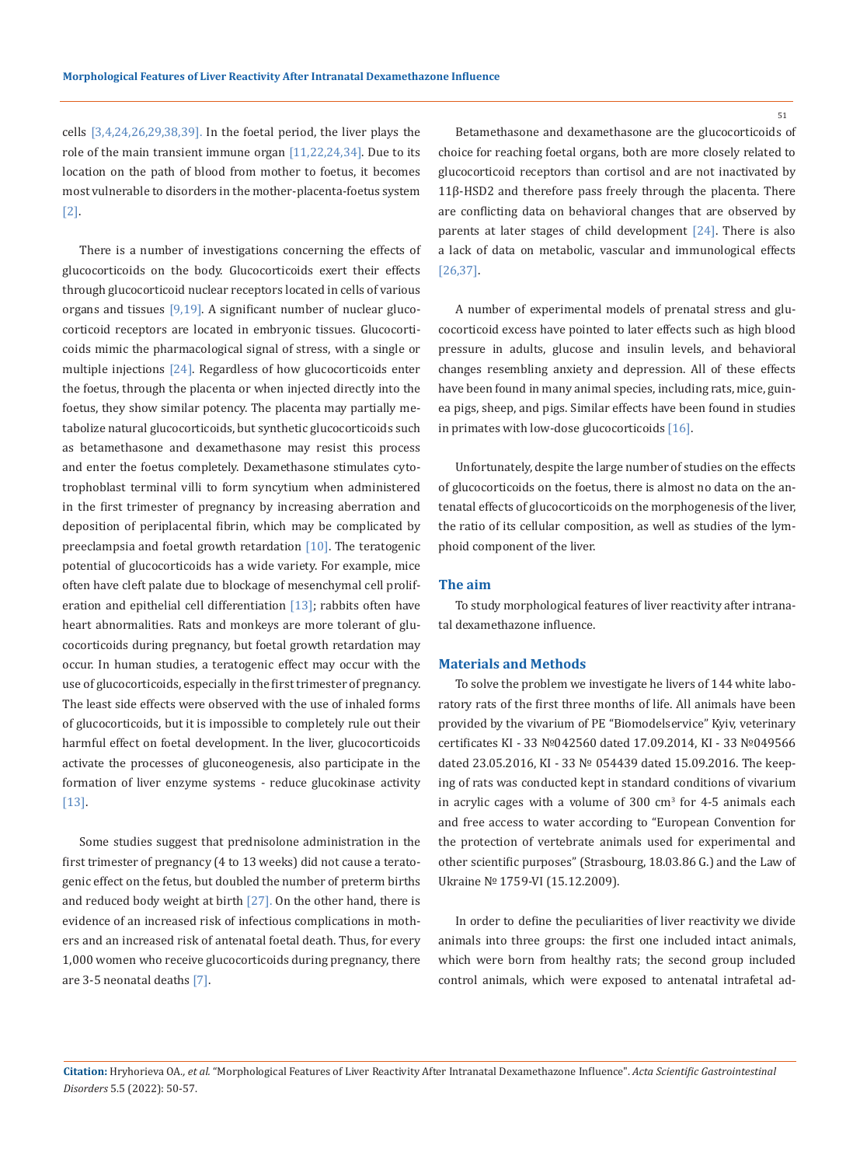cells [3,4,24,26,29,38,39]. In the foetal period, the liver plays the role of the main transient immune organ [11,22,24,34]. Due to its location on the path of blood from mother to foetus, it becomes most vulnerable to disorders in the mother-placenta-foetus system [2].

There is a number of investigations concerning the effects of glucocorticoids on the body. Glucocorticoids exert their effects through glucocorticoid nuclear receptors located in cells of various organs and tissues  $[9,19]$ . A significant number of nuclear glucocorticoid receptors are located in embryonic tissues. Glucocorticoids mimic the pharmacological signal of stress, with a single or multiple injections [24]. Regardless of how glucocorticoids enter the foetus, through the placenta or when injected directly into the foetus, they show similar potency. The placenta may partially metabolize natural glucocorticoids, but synthetic glucocorticoids such as betamethasone and dexamethasone may resist this process and enter the foetus completely. Dexamethasone stimulates cytotrophoblast terminal villi to form syncytium when administered in the first trimester of pregnancy by increasing aberration and deposition of periplacental fibrin, which may be complicated by preeclampsia and foetal growth retardation [10]. The teratogenic potential of glucocorticoids has a wide variety. For example, mice often have cleft palate due to blockage of mesenchymal cell proliferation and epithelial cell differentiation  $[13]$ ; rabbits often have heart abnormalities. Rats and monkeys are more tolerant of glucocorticoids during pregnancy, but foetal growth retardation may occur. In human studies, a teratogenic effect may occur with the use of glucocorticoids, especially in the first trimester of pregnancy. The least side effects were observed with the use of inhaled forms of glucocorticoids, but it is impossible to completely rule out their harmful effect on foetal development. In the liver, glucocorticoids activate the processes of gluconeogenesis, also participate in the formation of liver enzyme systems - reduce glucokinase activity [13].

Some studies suggest that prednisolone administration in the first trimester of pregnancy (4 to 13 weeks) did not cause a teratogenic effect on the fetus, but doubled the number of preterm births and reduced body weight at birth  $[27]$ . On the other hand, there is evidence of an increased risk of infectious complications in mothers and an increased risk of antenatal foetal death. Thus, for every 1,000 women who receive glucocorticoids during pregnancy, there are 3-5 neonatal deaths [7].

Betamethasone and dexamethasone are the glucocorticoids of choice for reaching foetal organs, both are more closely related to glucocorticoid receptors than cortisol and are not inactivated by 11β-HSD2 and therefore pass freely through the placenta. There are conflicting data on behavioral changes that are observed by parents at later stages of child development [24]. There is also a lack of data on metabolic, vascular and immunological effects [26,37].

A number of experimental models of prenatal stress and glucocorticoid excess have pointed to later effects such as high blood pressure in adults, glucose and insulin levels, and behavioral changes resembling anxiety and depression. All of these effects have been found in many animal species, including rats, mice, guinea pigs, sheep, and pigs. Similar effects have been found in studies in primates with low-dose glucocorticoids [16].

Unfortunately, despite the large number of studies on the effects of glucocorticoids on the foetus, there is almost no data on the antenatal effects of glucocorticoids on the morphogenesis of the liver, the ratio of its cellular composition, as well as studies of the lymphoid component of the liver.

#### **The aim**

To study morphological features of liver reactivity after intranatal dexamethazone influence.

#### **Materials and Methods**

To solve the problem we investigate he livers of 144 white laboratory rats of the first three months of life. All animals have been provided by the vivarium of PE "Biomodelservice" Kyiv, veterinary certificates KI - 33 №042560 dated 17.09.2014, KI - 33 №049566 dated 23.05.2016, KI - 33 № 054439 dated 15.09.2016. The keeping of rats was conducted kept in standard conditions of vivarium in acrylic cages with a volume of  $300 \text{ cm}^3$  for 4-5 animals each and free access to water according to "European Convention for the protection of vertebrate animals used for experimental and other scientific purposes" (Strasbourg, 18.03.86 G.) and the Law of Ukraine № 1759-VI (15.12.2009).

In order to define the peculiarities of liver reactivity we divide animals into three groups: the first one included intact animals, which were born from healthy rats; the second group included control animals, which were exposed to antenatal intrafetal ad-

**Citation:** Hryhorieva OA*., et al.* "Morphological Features of Liver Reactivity After Intranatal Dexamethazone Influence". *Acta Scientific Gastrointestinal Disorders* 5.5 (2022): 50-57.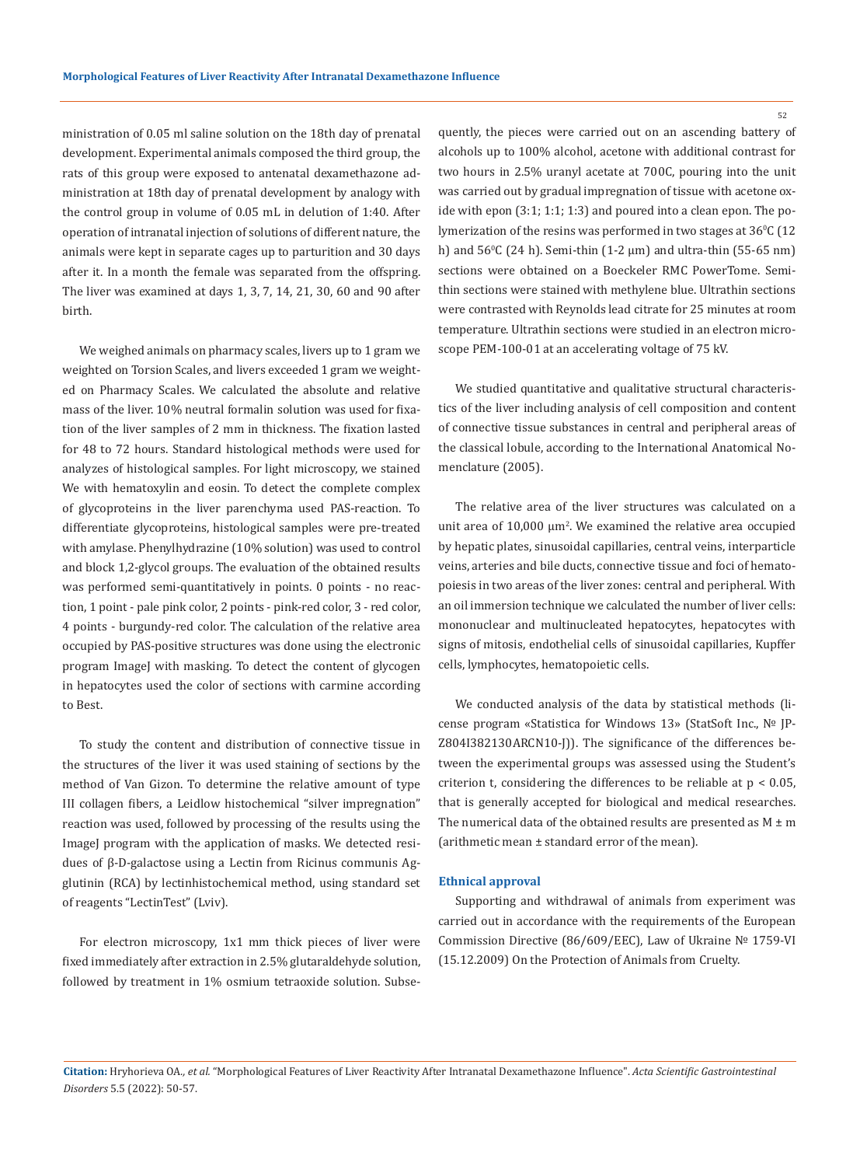ministration of 0.05 ml saline solution on the 18th day of prenatal development. Experimental animals composed the third group, the rats of this group were exposed to antenatal dexamethazone administration at 18th day of prenatal development by analogy with the control group in volume of 0.05 mL in delution of 1:40. After operation of intranatal injection of solutions of different nature, the animals were kept in separate cages up to parturition and 30 days after it. In a month the female was separated from the offspring. The liver was examined at days 1, 3, 7, 14, 21, 30, 60 and 90 after birth.

We weighed animals on pharmacy scales, livers up to 1 gram we weighted on Torsion Scales, and livers exceeded 1 gram we weighted on Pharmacy Scales. We calculated the absolute and relative mass of the liver. 10% neutral formalin solution was used for fixation of the liver samples of 2 mm in thickness. The fixation lasted for 48 to 72 hours. Standard histological methods were used for analyzes of histological samples. For light microscopy, we stained We with hematoxylin and eosin. To detect the complete complex of glycoproteins in the liver parenchyma used PAS-reaction. To differentiate glycoproteins, histological samples were pre-treated with amylase. Phenylhydrazine (10% solution) was used to control and block 1,2-glycol groups. The evaluation of the obtained results was performed semi-quantitatively in points. 0 points - no reaction, 1 point - pale pink color, 2 points - pink-red color, 3 - red color, 4 points - burgundy-red color. The calculation of the relative area occupied by PAS-positive structures was done using the electronic program ImageJ with masking. To detect the content of glycogen in hepatocytes used the color of sections with carmine according to Best.

To study the content and distribution of connective tissue in the structures of the liver it was used staining of sections by the method of Van Gizon. To determine the relative amount of type III collagen fibers, a Leidlow histochemical "silver impregnation" reaction was used, followed by processing of the results using the ImageJ program with the application of masks. We detected residues of β-D-galactose using a Lectin from Ricinus communis Agglutinin (RCA) by lectinhistochemical method, using standard set of reagents "LectinTest" (Lviv).

For electron microscopy, 1x1 mm thick pieces of liver were fixed immediately after extraction in 2.5% glutaraldehyde solution, followed by treatment in 1% osmium tetraoxide solution. Subsequently, the pieces were carried out on an ascending battery of alcohols up to 100% alcohol, acetone with additional contrast for two hours in 2.5% uranyl acetate at 700C, pouring into the unit was carried out by gradual impregnation of tissue with acetone oxide with epon (3:1; 1:1; 1:3) and poured into a clean epon. The polymerization of the resins was performed in two stages at  $36\%$  (12  $^{\circ}$ h) and 56<sup>o</sup>C (24 h). Semi-thin (1-2 μm) and ultra-thin (55-65 nm) sections were obtained on a Boeckeler RMC PowerTome. Semithin sections were stained with methylene blue. Ultrathin sections were contrasted with Reynolds lead citrate for 25 minutes at room temperature. Ultrathin sections were studied in an electron microscope PEM-100-01 at an accelerating voltage of 75 kV.

We studied quantitative and qualitative structural characteristics of the liver including analysis of cell composition and content of connective tissue substances in central and peripheral areas of the classical lobule, according to the International Anatomical Nomenclature (2005).

The relative area of the liver structures was calculated on a unit area of  $10,000 \mu m^2$ . We examined the relative area occupied by hepatic plates, sinusoidal capillaries, central veins, interparticle veins, arteries and bile ducts, connective tissue and foci of hematopoiesis in two areas of the liver zones: central and peripheral. With an oil immersion technique we calculated the number of liver cells: mononuclear and multinucleated hepatocytes, hepatocytes with signs of mitosis, endothelial cells of sinusoidal capillaries, Kupffer cells, lymphocytes, hematopoietic cells.

We conducted analysis of the data by statistical methods (license program «Statistica for Windows 13» (StatSoft Inc., № JP-Z804I382130ARCN10-J)). The significance of the differences between the experimental groups was assessed using the Student's criterion t, considering the differences to be reliable at  $p < 0.05$ , that is generally accepted for biological and medical researches. The numerical data of the obtained results are presented as  $M \pm m$ (arithmetic mean ± standard error of the mean).

## **Ethnical approval**

Supporting and withdrawal of animals from experiment was carried out in accordance with the requirements of the European Commission Directive (86/609/EEC), Law of Ukraine № 1759-VI (15.12.2009) On the Protection of Animals from Cruelty.

**Citation:** Hryhorieva OA*., et al.* "Morphological Features of Liver Reactivity After Intranatal Dexamethazone Influence". *Acta Scientific Gastrointestinal Disorders* 5.5 (2022): 50-57.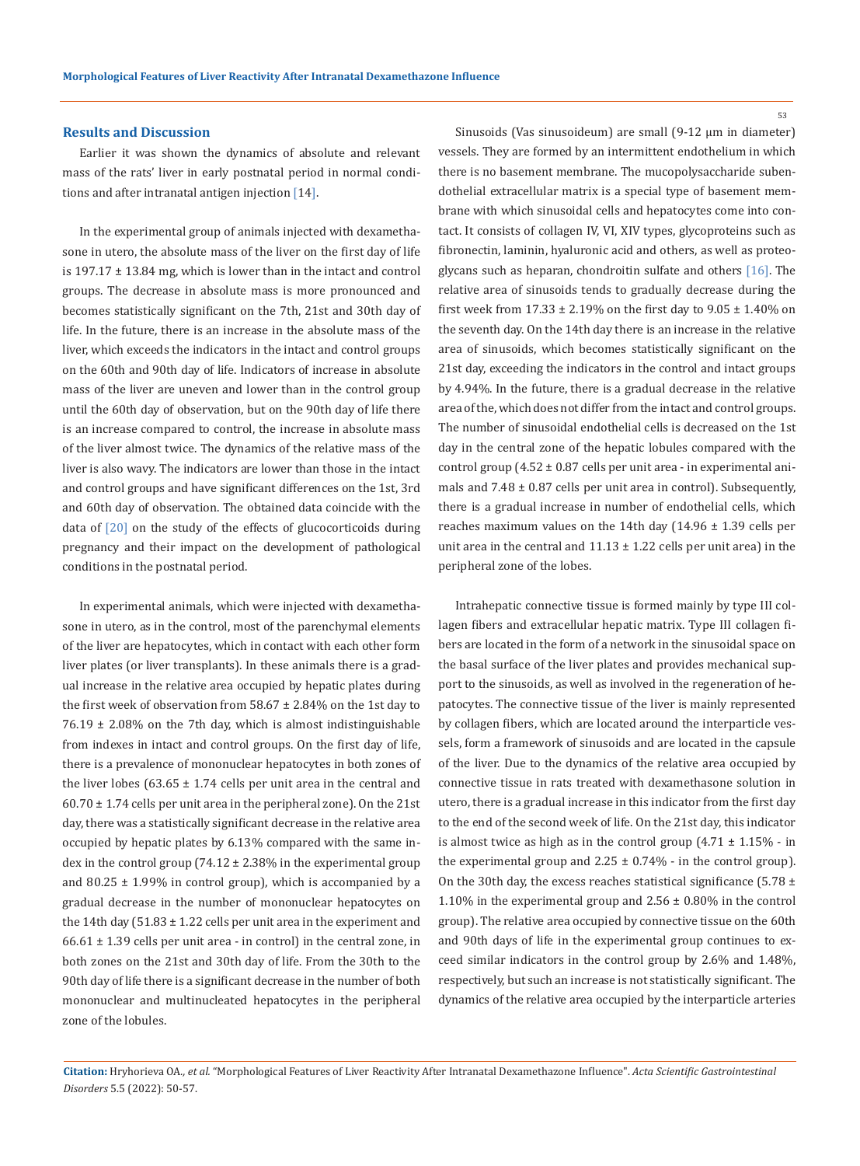#### **Results and Discussion**

Earlier it was shown the dynamics of absolute and relevant mass of the rats' liver in early postnatal period in normal conditions and after intranatal antigen injection [14].

In the experimental group of animals injected with dexamethasone in utero, the absolute mass of the liver on the first day of life is  $197.17 \pm 13.84$  mg, which is lower than in the intact and control groups. The decrease in absolute mass is more pronounced and becomes statistically significant on the 7th, 21st and 30th day of life. In the future, there is an increase in the absolute mass of the liver, which exceeds the indicators in the intact and control groups on the 60th and 90th day of life. Indicators of increase in absolute mass of the liver are uneven and lower than in the control group until the 60th day of observation, but on the 90th day of life there is an increase compared to control, the increase in absolute mass of the liver almost twice. The dynamics of the relative mass of the liver is also wavy. The indicators are lower than those in the intact and control groups and have significant differences on the 1st, 3rd and 60th day of observation. The obtained data coincide with the data of  $[20]$  on the study of the effects of glucocorticoids during pregnancy and their impact on the development of pathological conditions in the postnatal period.

In experimental animals, which were injected with dexamethasone in utero, as in the control, most of the parenchymal elements of the liver are hepatocytes, which in contact with each other form liver plates (or liver transplants). In these animals there is a gradual increase in the relative area occupied by hepatic plates during the first week of observation from  $58.67 \pm 2.84\%$  on the 1st day to  $76.19 \pm 2.08\%$  on the 7th day, which is almost indistinguishable from indexes in intact and control groups. On the first day of life, there is a prevalence of mononuclear hepatocytes in both zones of the liver lobes  $(63.65 \pm 1.74$  cells per unit area in the central and  $60.70 \pm 1.74$  cells per unit area in the peripheral zone). On the 21st day, there was a statistically significant decrease in the relative area occupied by hepatic plates by 6.13% compared with the same index in the control group (74.12  $\pm$  2.38% in the experimental group and 80.25  $\pm$  1.99% in control group), which is accompanied by a gradual decrease in the number of mononuclear hepatocytes on the 14th day  $(51.83 \pm 1.22 \text{ cells per unit area in the experiment and})$  $66.61 \pm 1.39$  cells per unit area - in control) in the central zone, in both zones on the 21st and 30th day of life. From the 30th to the 90th day of life there is a significant decrease in the number of both mononuclear and multinucleated hepatocytes in the peripheral zone of the lobules.

Sinusoids (Vas sinusoideum) are small (9-12 μm in diameter) vessels. They are formed by an intermittent endothelium in which there is no basement membrane. The mucopolysaccharide subendothelial extracellular matrix is a special type of basement membrane with which sinusoidal cells and hepatocytes come into contact. It consists of collagen IV, VI, XIV types, glycoproteins such as fibronectin, laminin, hyaluronic acid and others, as well as proteoglycans such as heparan, chondroitin sulfate and others [16]. The relative area of sinusoids tends to gradually decrease during the first week from  $17.33 \pm 2.19\%$  on the first day to  $9.05 \pm 1.40\%$  on the seventh day. On the 14th day there is an increase in the relative area of sinusoids, which becomes statistically significant on the 21st day, exceeding the indicators in the control and intact groups by 4.94%. In the future, there is a gradual decrease in the relative area of the, which does not differ from the intact and control groups. The number of sinusoidal endothelial cells is decreased on the 1st day in the central zone of the hepatic lobules compared with the control group  $(4.52 \pm 0.87$  cells per unit area - in experimental animals and  $7.48 \pm 0.87$  cells per unit area in control). Subsequently, there is a gradual increase in number of endothelial cells, which reaches maximum values on the 14th day (14.96 ± 1.39 cells per unit area in the central and  $11.13 \pm 1.22$  cells per unit area) in the peripheral zone of the lobes.

Intrahepatic connective tissue is formed mainly by type III collagen fibers and extracellular hepatic matrix. Type III collagen fibers are located in the form of a network in the sinusoidal space on the basal surface of the liver plates and provides mechanical support to the sinusoids, as well as involved in the regeneration of hepatocytes. The connective tissue of the liver is mainly represented by collagen fibers, which are located around the interparticle vessels, form a framework of sinusoids and are located in the capsule of the liver. Due to the dynamics of the relative area occupied by connective tissue in rats treated with dexamethasone solution in utero, there is a gradual increase in this indicator from the first day to the end of the second week of life. On the 21st day, this indicator is almost twice as high as in the control group  $(4.71 \pm 1.15\% \cdot \text{in}$ the experimental group and  $2.25 \pm 0.74\%$  - in the control group). On the 30th day, the excess reaches statistical significance (5.78  $\pm$ 1.10% in the experimental group and 2.56 ± 0.80% in the control group). The relative area occupied by connective tissue on the 60th and 90th days of life in the experimental group continues to exceed similar indicators in the control group by 2.6% and 1.48%, respectively, but such an increase is not statistically significant. The dynamics of the relative area occupied by the interparticle arteries

**Citation:** Hryhorieva OA*., et al.* "Morphological Features of Liver Reactivity After Intranatal Dexamethazone Influence". *Acta Scientific Gastrointestinal Disorders* 5.5 (2022): 50-57.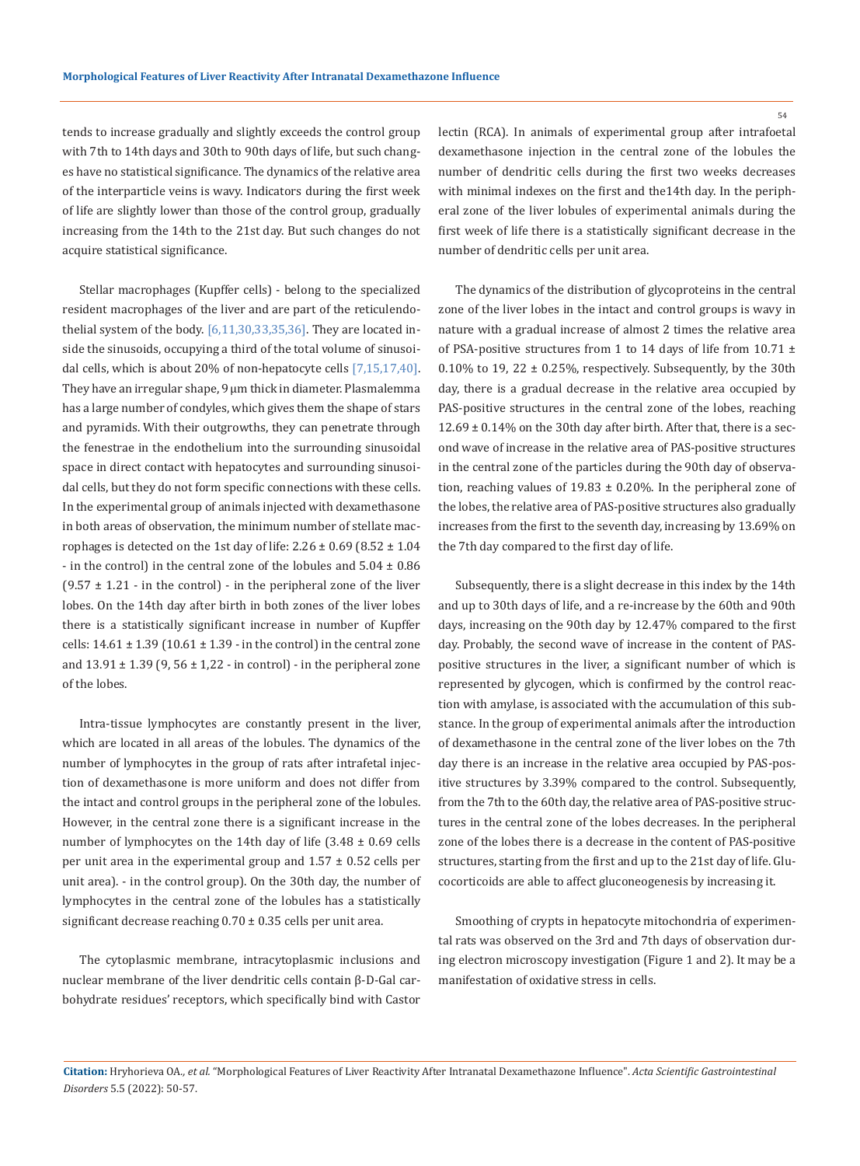tends to increase gradually and slightly exceeds the control group with 7th to 14th days and 30th to 90th days of life, but such changes have no statistical significance. The dynamics of the relative area of the interparticle veins is wavy. Indicators during the first week of life are slightly lower than those of the control group, gradually increasing from the 14th to the 21st day. But such changes do not acquire statistical significance.

Stellar macrophages (Kupffer cells) - belong to the specialized resident macrophages of the liver and are part of the reticulendothelial system of the body.  $[6,11,30,33,35,36]$ . They are located inside the sinusoids, occupying a third of the total volume of sinusoidal cells, which is about 20% of non-hepatocyte cells [7,15,17,40]. They have an irregular shape, 9 μm thick in diameter. Plasmalemma has a large number of condyles, which gives them the shape of stars and pyramids. With their outgrowths, they can penetrate through the fenestrae in the endothelium into the surrounding sinusoidal space in direct contact with hepatocytes and surrounding sinusoidal cells, but they do not form specific connections with these cells. In the experimental group of animals injected with dexamethasone in both areas of observation, the minimum number of stellate macrophages is detected on the 1st day of life:  $2.26 \pm 0.69$  (8.52  $\pm 1.04$ - in the control) in the central zone of the lobules and  $5.04 \pm 0.86$  $(9.57 \pm 1.21 \cdot \text{in the control})$  - in the peripheral zone of the liver lobes. On the 14th day after birth in both zones of the liver lobes there is a statistically significant increase in number of Kupffer cells:  $14.61 \pm 1.39$  ( $10.61 \pm 1.39$  - in the control) in the central zone and  $13.91 \pm 1.39$  (9,  $56 \pm 1.22$  - in control) - in the peripheral zone of the lobes.

Intra-tissue lymphocytes are constantly present in the liver, which are located in all areas of the lobules. The dynamics of the number of lymphocytes in the group of rats after intrafetal injection of dexamethasone is more uniform and does not differ from the intact and control groups in the peripheral zone of the lobules. However, in the central zone there is a significant increase in the number of lymphocytes on the 14th day of life  $(3.48 \pm 0.69 \text{ cells})$ per unit area in the experimental group and 1.57 ± 0.52 cells per unit area). - in the control group). On the 30th day, the number of lymphocytes in the central zone of the lobules has a statistically significant decrease reaching  $0.70 \pm 0.35$  cells per unit area.

The cytoplasmic membrane, intracytoplasmic inclusions and nuclear membrane of the liver dendritic cells contain β-D-Gal carbohydrate residues' receptors, which specifically bind with Castor lectin (RCA). In animals of experimental group after intrafoetal dexamethasone injection in the central zone of the lobules the number of dendritic cells during the first two weeks decreases with minimal indexes on the first and the14th day. In the peripheral zone of the liver lobules of experimental animals during the first week of life there is a statistically significant decrease in the number of dendritic cells per unit area.

The dynamics of the distribution of glycoproteins in the central zone of the liver lobes in the intact and control groups is wavy in nature with a gradual increase of almost 2 times the relative area of PSA-positive structures from 1 to 14 days of life from 10.71  $\pm$ 0.10% to 19, 22  $\pm$  0.25%, respectively. Subsequently, by the 30th day, there is a gradual decrease in the relative area occupied by PAS-positive structures in the central zone of the lobes, reaching 12.69 ± 0.14% on the 30th day after birth. After that, there is a second wave of increase in the relative area of PAS-positive structures in the central zone of the particles during the 90th day of observation, reaching values of  $19.83 \pm 0.20$ %. In the peripheral zone of the lobes, the relative area of PAS-positive structures also gradually increases from the first to the seventh day, increasing by 13.69% on the 7th day compared to the first day of life.

Subsequently, there is a slight decrease in this index by the 14th and up to 30th days of life, and a re-increase by the 60th and 90th days, increasing on the 90th day by 12.47% compared to the first day. Probably, the second wave of increase in the content of PASpositive structures in the liver, a significant number of which is represented by glycogen, which is confirmed by the control reaction with amylase, is associated with the accumulation of this substance. In the group of experimental animals after the introduction of dexamethasone in the central zone of the liver lobes on the 7th day there is an increase in the relative area occupied by PAS-positive structures by 3.39% compared to the control. Subsequently, from the 7th to the 60th day, the relative area of PAS-positive structures in the central zone of the lobes decreases. In the peripheral zone of the lobes there is a decrease in the content of PAS-positive structures, starting from the first and up to the 21st day of life. Glucocorticoids are able to affect gluconeogenesis by increasing it.

Smoothing of crypts in hepatocyte mitochondria of experimental rats was observed on the 3rd and 7th days of observation during electron microscopy investigation (Figure 1 and 2). It may be a manifestation of oxidative stress in cells.

**Citation:** Hryhorieva OA*., et al.* "Morphological Features of Liver Reactivity After Intranatal Dexamethazone Influence". *Acta Scientific Gastrointestinal Disorders* 5.5 (2022): 50-57.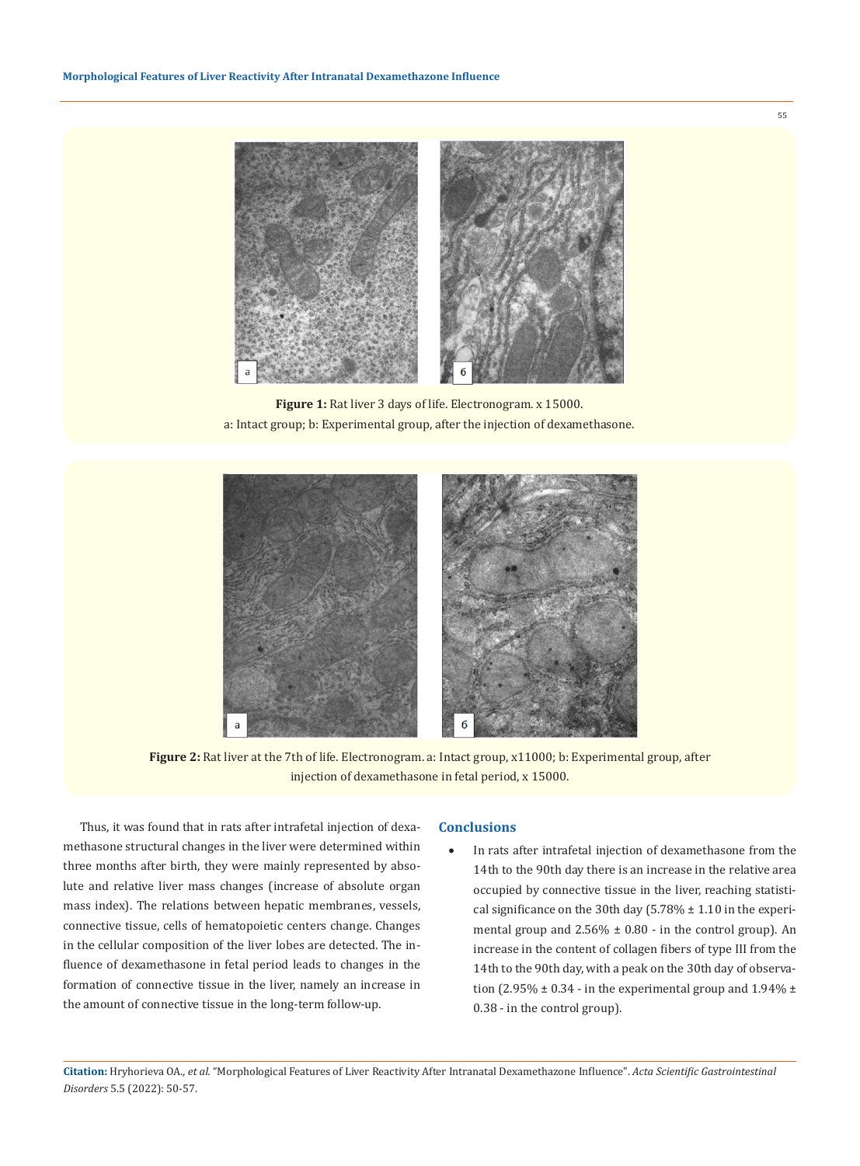

**Figure 1:** Rat liver 3 days of life. Electronogram. x 15000. a: Intact group; b: Experimental group, after the injection of dexamethasone.



**Figure 2:** Rat liver at the 7th of life. Electronogram. a: Intact group, x11000; b: Experimental group, after injection of dexamethasone in fetal period, x 15000.

Thus, it was found that in rats after intrafetal injection of dexamethasone structural changes in the liver were determined within three months after birth, they were mainly represented by absolute and relative liver mass changes (increase of absolute organ mass index). The relations between hepatic membranes, vessels, connective tissue, cells of hematopoietic centers change. Changes in the cellular composition of the liver lobes are detected. The influence of dexamethasone in fetal period leads to changes in the formation of connective tissue in the liver, namely an increase in the amount of connective tissue in the long-term follow-up.

#### **Conclusions**

In rats after intrafetal injection of dexamethasone from the 14th to the 90th day there is an increase in the relative area occupied by connective tissue in the liver, reaching statistical significance on the 30th day  $(5.78\% \pm 1.10)$  in the experimental group and  $2.56\% \pm 0.80$  - in the control group). An increase in the content of collagen fibers of type III from the 14th to the 90th day, with a peak on the 30th day of observation (2.95%  $\pm$  0.34 - in the experimental group and 1.94%  $\pm$ 0.38 - in the control group).

**Citation:** Hryhorieva OA*., et al.* "Morphological Features of Liver Reactivity After Intranatal Dexamethazone Influence". *Acta Scientific Gastrointestinal Disorders* 5.5 (2022): 50-57.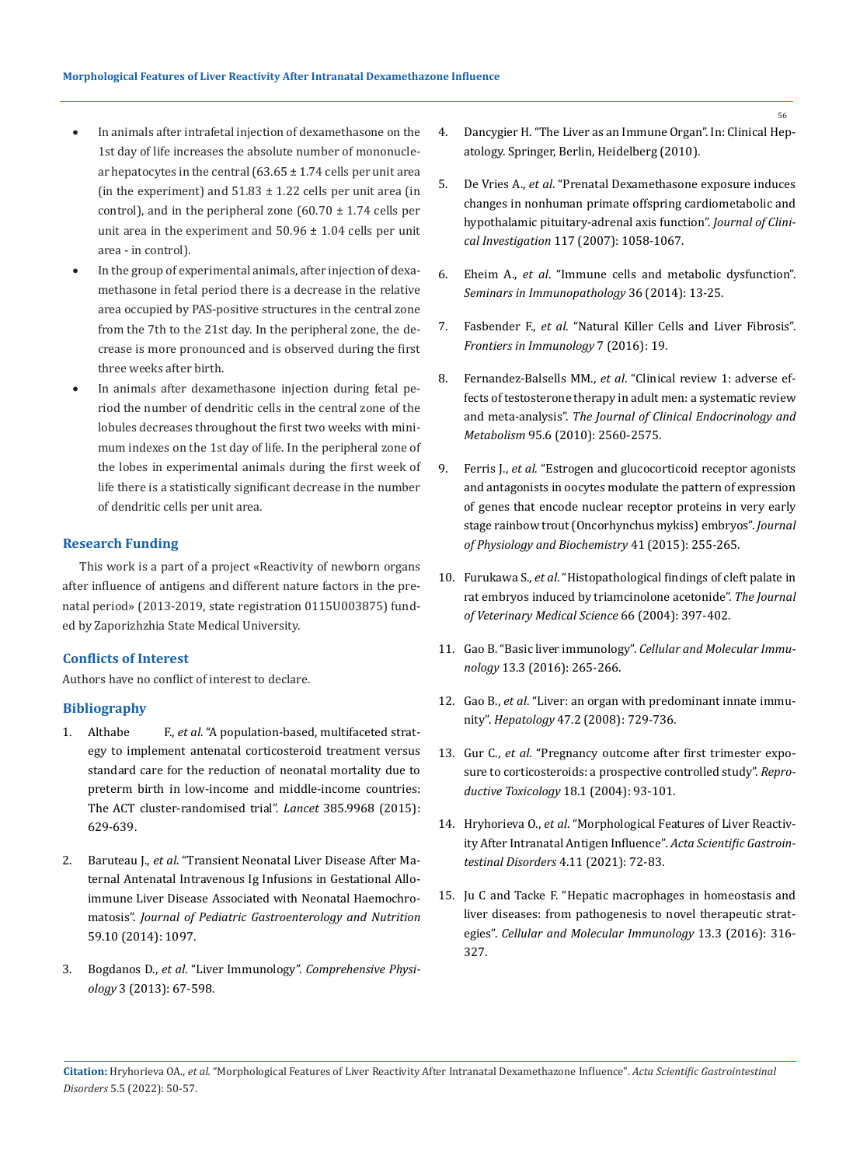- In animals after intrafetal injection of dexamethasone on the 1st day of life increases the absolute number of mononuclear hepatocytes in the central  $(63.65 \pm 1.74 \text{ cells})$  per unit area (in the experiment) and  $51.83 \pm 1.22$  cells per unit area (in control), and in the peripheral zone  $(60.70 \pm 1.74 \text{ cells per}$ unit area in the experiment and  $50.96 \pm 1.04$  cells per unit area - in control).
- In the group of experimental animals, after injection of dexamethasone in fetal period there is a decrease in the relative area occupied by PAS-positive structures in the central zone from the 7th to the 21st day. In the peripheral zone, the decrease is more pronounced and is observed during the first three weeks after birth.
- In animals after dexamethasone injection during fetal period the number of dendritic cells in the central zone of the lobules decreases throughout the first two weeks with minimum indexes on the 1st day of life. In the peripheral zone of the lobes in experimental animals during the first week of life there is a statistically significant decrease in the number of dendritic cells per unit area.

## **Research Funding**

This work is a part of a project «Reactivity of newborn organs after influence of antigens and different nature factors in the prenatal period» (2013-2019, state registration 0115U003875) funded by Zaporizhzhia State Medical University.

#### **Conflicts of Interest**

Authors have no conflict of interest to declare.

## **Bibliography**

- 1. Althabe F., *et al*[. "A population-based, multifaceted strat](https://pennstate.pure.elsevier.com/en/publications/a-population-based-multifaceted-strategy-to-implement-antenatal-c)[egy to implement antenatal corticosteroid treatment versus](https://pennstate.pure.elsevier.com/en/publications/a-population-based-multifaceted-strategy-to-implement-antenatal-c)  [standard care for the reduction of neonatal mortality due to](https://pennstate.pure.elsevier.com/en/publications/a-population-based-multifaceted-strategy-to-implement-antenatal-c)  [preterm birth in low-income and middle-income countries:](https://pennstate.pure.elsevier.com/en/publications/a-population-based-multifaceted-strategy-to-implement-antenatal-c)  [The ACT cluster-randomised trial".](https://pennstate.pure.elsevier.com/en/publications/a-population-based-multifaceted-strategy-to-implement-antenatal-c) *Lancet* 385.9968 (2015): [629-639.](https://pennstate.pure.elsevier.com/en/publications/a-population-based-multifaceted-strategy-to-implement-antenatal-c)
- 2. Baruteau J., *et al*[. "Transient Neonatal Liver Disease After Ma](https://pubmed.ncbi.nlm.nih.gov/25079484/)[ternal Antenatal Intravenous Ig Infusions in Gestational Allo](https://pubmed.ncbi.nlm.nih.gov/25079484/)[immune Liver Disease Associated with Neonatal Haemochro](https://pubmed.ncbi.nlm.nih.gov/25079484/)matosis". *[Journal of Pediatric Gastroenterology and Nutrition](https://pubmed.ncbi.nlm.nih.gov/25079484/)* [59.10 \(2014\): 1097.](https://pubmed.ncbi.nlm.nih.gov/25079484/)
- 3. Bogdanos D., *et al*. "Liver Immunology". *[Comprehensive Physi](https://pubmed.ncbi.nlm.nih.gov/23720323/)ology* [3 \(2013\): 67-598.](https://pubmed.ncbi.nlm.nih.gov/23720323/)
- 4. Dancygier H. "The Liver as an Immune Organ". In: Clinical Hepatology. Springer, Berlin, Heidelberg (2010).
- 5. De Vries A., *et al*[. "Prenatal Dexamethasone exposure induces](https://pubmed.ncbi.nlm.nih.gov/17380204/)  [changes in nonhuman primate offspring cardiometabolic and](https://pubmed.ncbi.nlm.nih.gov/17380204/)  [hypothalamic pituitary-adrenal axis function".](https://pubmed.ncbi.nlm.nih.gov/17380204/) *Journal of Clinical Investigation* [117 \(2007\): 1058-1067.](https://pubmed.ncbi.nlm.nih.gov/17380204/)
- 6. Eheim A., *et al*[. "Immune cells and metabolic dysfunction".](https://academic.oup.com/ejs/article/166/12/954/6040338)  *[Seminars in Immunopathology](https://academic.oup.com/ejs/article/166/12/954/6040338)* 36 (2014): 13-25.
- 7. Fasbender F., *et al*[. "Natural Killer Cells and Liver Fibrosis".](https://www.ncbi.nlm.nih.gov/pmc/articles/PMC4731511/)  *[Frontiers in Immunology](https://www.ncbi.nlm.nih.gov/pmc/articles/PMC4731511/)* 7 (2016): 19.
- 8. Fernandez-Balsells MM., *et al*[. "Clinical review 1: adverse ef](https://pubmed.ncbi.nlm.nih.gov/20525906/)[fects of testosterone therapy in adult men: a systematic review](https://pubmed.ncbi.nlm.nih.gov/20525906/)  and meta-analysis". *[The Journal of Clinical Endocrinology and](https://pubmed.ncbi.nlm.nih.gov/20525906/)  Metabolism* [95.6 \(2010\): 2560-2575.](https://pubmed.ncbi.nlm.nih.gov/20525906/)
- 9. Ferris J., *et al*[. "Estrogen and glucocorticoid receptor agonists](https://pubmed.ncbi.nlm.nih.gov/25523437/)  [and antagonists in oocytes modulate the pattern of expression](https://pubmed.ncbi.nlm.nih.gov/25523437/)  [of genes that encode nuclear receptor proteins in very early](https://pubmed.ncbi.nlm.nih.gov/25523437/)  [stage rainbow trout \(Oncorhynchus mykiss\) embryos".](https://pubmed.ncbi.nlm.nih.gov/25523437/) *Journal [of Physiology and Biochemistry](https://pubmed.ncbi.nlm.nih.gov/25523437/)* 41 (2015): 255-265.
- 10. Furukawa S., *et al*[. "Histopathological findings of cleft palate in](https://pubmed.ncbi.nlm.nih.gov/15133269/)  [rat embryos induced by triamcinolone acetonide".](https://pubmed.ncbi.nlm.nih.gov/15133269/) *The Journal [of Veterinary Medical Science](https://pubmed.ncbi.nlm.nih.gov/15133269/)* 66 (2004): 397-402.
- 11. Gao B. "Basic liver immunology". *[Cellular and Molecular Immu](https://www.ncbi.nlm.nih.gov/pmc/articles/PMC4856812/)nology* [13.3 \(2016\): 265-266.](https://www.ncbi.nlm.nih.gov/pmc/articles/PMC4856812/)
- 12. Gao B., *et al*[. "Liver: an organ with predominant innate immu](https://pubmed.ncbi.nlm.nih.gov/18167066/)nity". *Hepatology* [47.2 \(2008\): 729-736.](https://pubmed.ncbi.nlm.nih.gov/18167066/)
- 13. Gur C., *et al*[. "Pregnancy outcome after first trimester expo](https://pubmed.ncbi.nlm.nih.gov/15013068/)[sure to corticosteroids: a prospective controlled study".](https://pubmed.ncbi.nlm.nih.gov/15013068/) *Repro[ductive Toxicology](https://pubmed.ncbi.nlm.nih.gov/15013068/)* 18.1 (2004): 93-101.
- 14. Hryhorieva O., *et al*[. "Morphological Features of Liver Reactiv](https://pubmed.ncbi.nlm.nih.gov/12476612/)[ity After Intranatal Antigen Influence"](https://pubmed.ncbi.nlm.nih.gov/12476612/)*. Acta Scientific Gastroin[testinal Disorders](https://pubmed.ncbi.nlm.nih.gov/12476612/)* 4.11 (2021): 72-83.
- 15. [Ju C and Tacke F. "Hepatic macrophages in homeostasis and](https://pubmed.ncbi.nlm.nih.gov/26908374/)  [liver diseases: from pathogenesis to novel therapeutic strat](https://pubmed.ncbi.nlm.nih.gov/26908374/)egies". *[Cellular and Molecular Immunology](https://pubmed.ncbi.nlm.nih.gov/26908374/)* 13.3 (2016): 316- [327.](https://pubmed.ncbi.nlm.nih.gov/26908374/)

**Citation:** Hryhorieva OA*., et al.* "Morphological Features of Liver Reactivity After Intranatal Dexamethazone Influence". *Acta Scientific Gastrointestinal Disorders* 5.5 (2022): 50-57.